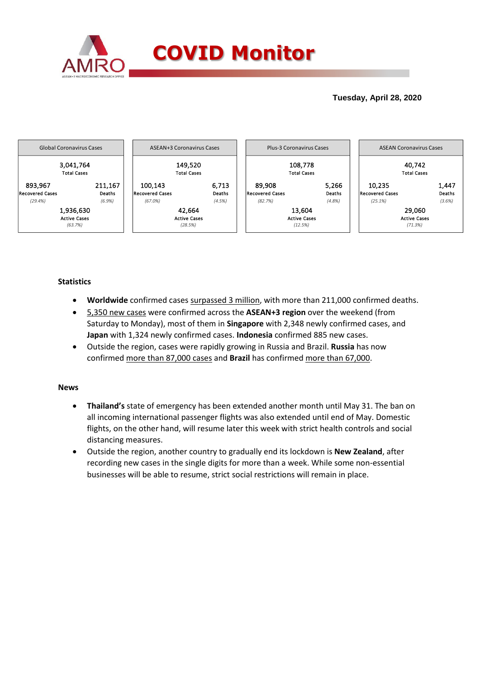

## **Tuesday, April 28, 2020**



## **Statistics**

- **Worldwide** confirmed cases surpassed 3 million, with more than 211,000 confirmed deaths.
- 5,350 new cases were confirmed across the **ASEAN+3 region** over the weekend (from Saturday to Monday), most of them in **Singapore** with 2,348 newly confirmed cases, and **Japan** with 1,324 newly confirmed cases. **Indonesia** confirmed 885 new cases.
- Outside the region, cases were rapidly growing in Russia and Brazil. **Russia** has now confirmed more than 87,000 cases and **Brazil** has confirmed more than 67,000.

## **News**

- **Thailand's** state of emergency has been extended another month until May 31. The ban on all incoming international passenger flights was also extended until end of May. Domestic flights, on the other hand, will resume later this week with strict health controls and social distancing measures.
- Outside the region, another country to gradually end its lockdown is **New Zealand**, after recording new cases in the single digits for more than a week. While some non-essential businesses will be able to resume, strict social restrictions will remain in place.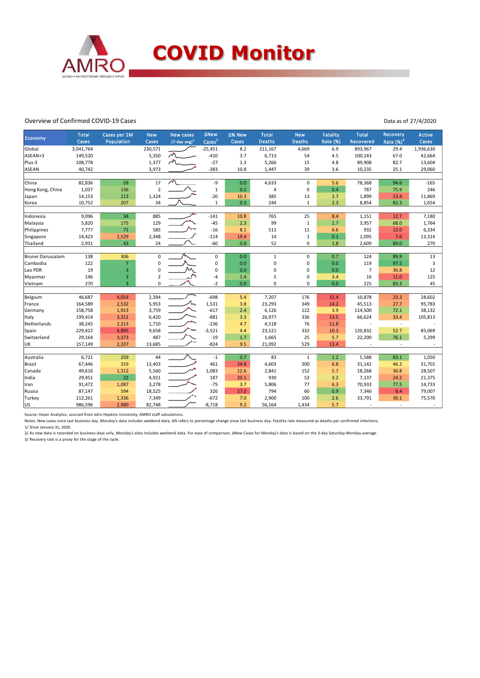

### Overview of Confirmed COVID-19 Cases

#### Data as of 27/4/2020

|                   | <b>Total</b> | Cases per 1M   | <b>New</b>     | <b>New cases</b>            | <b>ANew</b>                | ∆% New | <b>Total</b>  | <b>New</b>    | <b>Fatality</b> | <b>Total</b>   | Recovery     | <b>Active</b> |
|-------------------|--------------|----------------|----------------|-----------------------------|----------------------------|--------|---------------|---------------|-----------------|----------------|--------------|---------------|
| Economy           | Cases        | Population     | Cases          | $(7$ -day avg) <sup>1</sup> | $\text{Case}$ <sup>2</sup> | Cases  | <b>Deaths</b> | <b>Deaths</b> | <b>Rate (%)</b> | Recovered      | Rate $(%)^3$ | Cases         |
| Global            | 3,041,764    |                | 230,571        |                             | $-25,451$                  | 8.2    | 211,167       | 4,669         | 6.9             | 893,967        | 29.4         | 1,936,630     |
| ASEAN+3           | 149,520      |                | 5,350          | $\sqrt{2}$                  | $-410$                     | 3.7    | 6,713         | 54            | 4.5             | 100,143        | 67.0         | 42,664        |
| Plus-3            | 108,778      |                | 1,377          | $\sim$                      | $-27$                      | 1.3    | 5,266         | 15            | 4.8             | 89,908         | 82.7         | 13,604        |
| ASEAN             | 40,742       |                | 3,973          |                             | $-383$                     | 10.8   | 1,447         | 39            | 3.6             | 10,235         | 25.1         | 29,060        |
|                   |              |                |                |                             |                            |        |               |               |                 |                |              |               |
| China             | 82,836       | 59             | 17             | $\lambda$                   | -9                         | 0.0    | 4,633         | $\Omega$      | 5.6             | 78,368         | 94.6         | $-165$        |
| Hong Kong, China  | 1,037        | 136            | $\overline{2}$ |                             | $\mathbf{1}$               | 0.2    | 4             | $\pmb{0}$     | 0.4             | 787            | 75.9         | 246           |
| Japan             | 14,153       | 113            | 1,324          |                             | $-20$                      | 10.3   | 385           | 13            | 2.7             | 1,899          | 13.4         | 11,869        |
| Korea             | 10,752       | 207            | 34             |                             | $\mathbf{1}$               | 0.3    | 244           | $\mathbf{1}$  | 2.3             | 8,854          | 82.3         | 1,654         |
|                   |              |                |                |                             |                            |        |               |               |                 |                |              |               |
| Indonesia         | 9,096        | 34             | 885            |                             | $-141$                     | 10.8   | 765<br>99     | 25            | 8.4             | 1,151          | 12.7         | 7,180         |
| Malaysia          | 5,820        | 175            | 129            |                             | $-45$                      | 2.3    |               | $\mathbf{1}$  | 1.7             | 3,957          | 68.0         | 1,764         |
| Philippines       | 7,777        | 71             | 585            |                             | $-16$                      | 8.1    | 511           | 11            | 6.6             | 932            | 12.0         | 6,334         |
| Singapore         | 14,423       | 2,529          | 2,348          |                             | $-114$                     | 19.4   | 14            | $\mathbf{1}$  | 0.1             | 1,095          | 7.6          | 13,314        |
| Thailand          | 2,931        | 43             | 24             |                             | $-60$                      | 0.8    | 52            | $\mathbf 0$   | 1.8             | 2,609          | 89.0         | 270           |
| Brunei Darussalam | 138          | 306            | $\mathbf 0$    |                             | $\mathbf 0$                | 0.0    | $\mathbf{1}$  | $\mathbf 0$   | 0.7             | 124            | 89.9         | 13            |
| Cambodia          | 122          | $\overline{7}$ | $\mathbf 0$    |                             | 0                          | 0.0    | 0             | $\mathbf 0$   | 0.0             | 119            | 97.5         | 3             |
| Lao PDR           | 19           | 3              | $\Omega$       |                             | 0                          | 0.0    | 0             | $\mathbf 0$   | 0.0             | $\overline{7}$ | 36.8         | 12            |
| Myanmar           | 146          | 3              | $\overline{2}$ |                             | $-4$                       | 1.4    | 5             | $\mathbf 0$   | 3.4             | 16             | 11.0         | 125           |
| Vietnam           | 270          | $\overline{3}$ | $\mathbf 0$    |                             | $-2$                       | 0.0    | 0             | $\Omega$      | 0.0             | 225            | 83.3         | 45            |
|                   |              |                |                |                             |                            |        |               |               |                 |                |              |               |
| Belgium           | 46,687       | 4,054          | 2,394          |                             | $-698$                     | 5.4    | 7,207         | 176           | 15.4            | 10,878         | 23.3         | 28,602        |
| France            | 164,589      | 2,532          | 5,953          |                             | 1,531                      | 3.8    | 23,293        | 349           | 14.2            | 45,513         | 27.7         | 95,783        |
| Germany           | 158,758      | 1,913          | 3,759          |                             | $-617$                     | 2.4    | 6,126         | 122           | 3.9             | 114,500        | 72.1         | 38,132        |
| Italy             | 199,414      | 3,311          | 6,420          |                             | $-881$                     | 3.3    | 26,977        | 336           | 13.5            | 66,624         | 33.4         | 105,813       |
| Netherlands       | 38,245       | 2,213          | 1,710          |                             | $-236$                     | 4.7    | 4,518         | 76            | 11.8            |                | $\sim$       |               |
| Spain             | 229,422      | 4,895          | 9,658          |                             | $-3,521$                   | 4.4    | 23,521        | 332           | 10.3            | 120,832        | 52.7         | 85,069        |
| Switzerland       | 29,164       | 3,373          | 487            |                             | $-19$                      | 1.7    | 1,665         | 25            | 5.7             | 22,200         | 76.1         | 5,299         |
| UK                | 157,149      | 2,337          | 13,685         |                             | $-824$                     | 9.5    | 21,092        | 529           | 13.4            |                | $\bar{a}$    |               |
|                   |              |                |                |                             |                            |        |               |               |                 |                |              |               |
| Australia         | 6,721        | 259            | 44             |                             | $-1$                       | 0.7    | 83            | $\mathbf 1$   | 1.2             | 5,588          | 83.1         | 1,050         |
| Brazil            | 67,446       | 319            | 13,403         |                             | 461                        | 24.8   | 4,603         | 300           | 6.8             | 31,142         | 46.2         | 31,701        |
| Canada            | 49,616       | 1,312          | 5,560          |                             | 1,083                      | 12.6   | 2,841         | 152           | 5.7             | 18,268         | 36.8         | 28,507        |
| India             | 29,451       | 22             | 4,921          |                             | 187                        | 20.1   | 939           | 53            | 3.2             | 7,137          | 24.2         | 21,375        |
| Iran              | 91,472       | 1,087          | 3,278          |                             | $-75$                      | 3.7    | 5,806         | 77            | 6.3             | 70,933         | 77.5         | 14,733        |
| Russia            | 87,147       | 594            | 18,525         |                             | 326                        | 27.0   | 794           | 60            | 0.9             | 7,346          | 8.4          | 79,007        |
| Turkey            | 112,261      | 1,336          | 7,349          |                             | $-672$                     | 7.0    | 2,900         | 100           | 2.6             | 33,791         | 30.1         | 75,570        |
| lus               | 986,596      | 2,980          | 82,748         |                             | $-8,718$                   | 9.2    | 56,164        | 1,434         | 5.7             |                | $\omega$     |               |

Source: Haver Analytics, sourced from John Hopkins University; AMRO staff calculations.

Notes: New cases since last business day. Monday's data includes weekend data. Δ% refers to percentage change since last business day. Fatality rate measured as deaths per confirmed infections.

1/ Since January 31, 2020.

2/ As new data is recorded on business days only, Monday's data includes weekend data. For ease of comparison, ΔNew Cases for Monday's data is based on the 3-day Saturday-Monday average. 3/ Recovery rate is a proxy for the stage of the cycle.